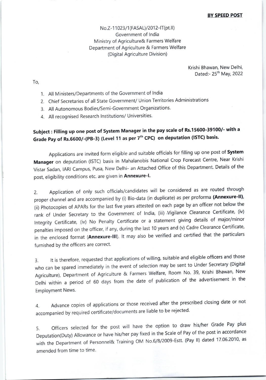No.Z-11023/1(FASAL)/2012-IT(pt.II) Government of lndia Ministry of Agriculture& Farmers Welfare Department of Agriculture & Farmers Welfare (Digital Agriculture Division)

> Krishi Bhawan, New Delhi, Dated:- 25<sup>th</sup> May, 2022

To,

- 1. All Ministers/Departments of the Government of lndia
- 2. Chief Secretaries of all State Government/ Union Territories Administrations
- 3. All Autonomous Bodies/Semi-Government Organizations.
- 4. All recognised Research lnstitutions/ Universities.

## subject: Filling up one post of System Manager in the pay scale of Rs.15600-39100/- with <sup>a</sup> Grade Pay of Rs.6600/-(PB-3) (Level 11 as per 7<sup>th</sup> CPC) on deputation (ISTC) basis.

Applications are invited form eligible and suitable officials for filling up one post of System Manager on deputation (ISTC) basis in Mahalanobis National crop Forecast Centre, Near Krishi Vistar Sadan, lARl Campus, Pusa, New Delhi- an Attached Office of this Department. Details of the post, eligibility conditions etc. are given in Annexure-I.

2. Application of only such officials/candidates will be considered as are routed through proper channel and are accompanied by (i) Bio-data (in duplicate) as per proforma (Annexure-II), (ii) Photocopies of APARs for the last five years attested on each page by an officer not below the rank of Under Secretary to the Government of India, (iii) Vigilance Clearance Certificate, (iv) lntegrity certificate, (iv) No Penalty certificate or a statement giving details of major/minor penalties imposed on the officer, if any, during the last 10 years and (v) Cadre Clearance Certificate, in the enclosed format (Annexure-III). It may also be verified and certified that the particulars furnished by the officers are correct.

3. lt is therefore, requested that applications of willing, suitable and eligible officers and those who can be spared immediately in the event of selection may be sent to Under secretary (Digital Agriculture), Department of Agriculture & Farmers Welfare, Room No. 39, Krishi Bhawan, New Delhi within a period of 60 days from the date of publication of the advertisement in the Employment News.

4. Advance copies of applications or those received after the prescribed closing date or not accompanied by required certificate/documents are liable to be rejected.

5. Officers selected for the post will have the option to draw his/her Grade Pay plus Deputation(Duty) Allowance or have his/her pay fixed in the Scale of Pay of the post in accordance with the Department of Personnel& Training OM No.6/8/2009-Estt. (Pay II) dated 17.06.2010, as amended from time to time.